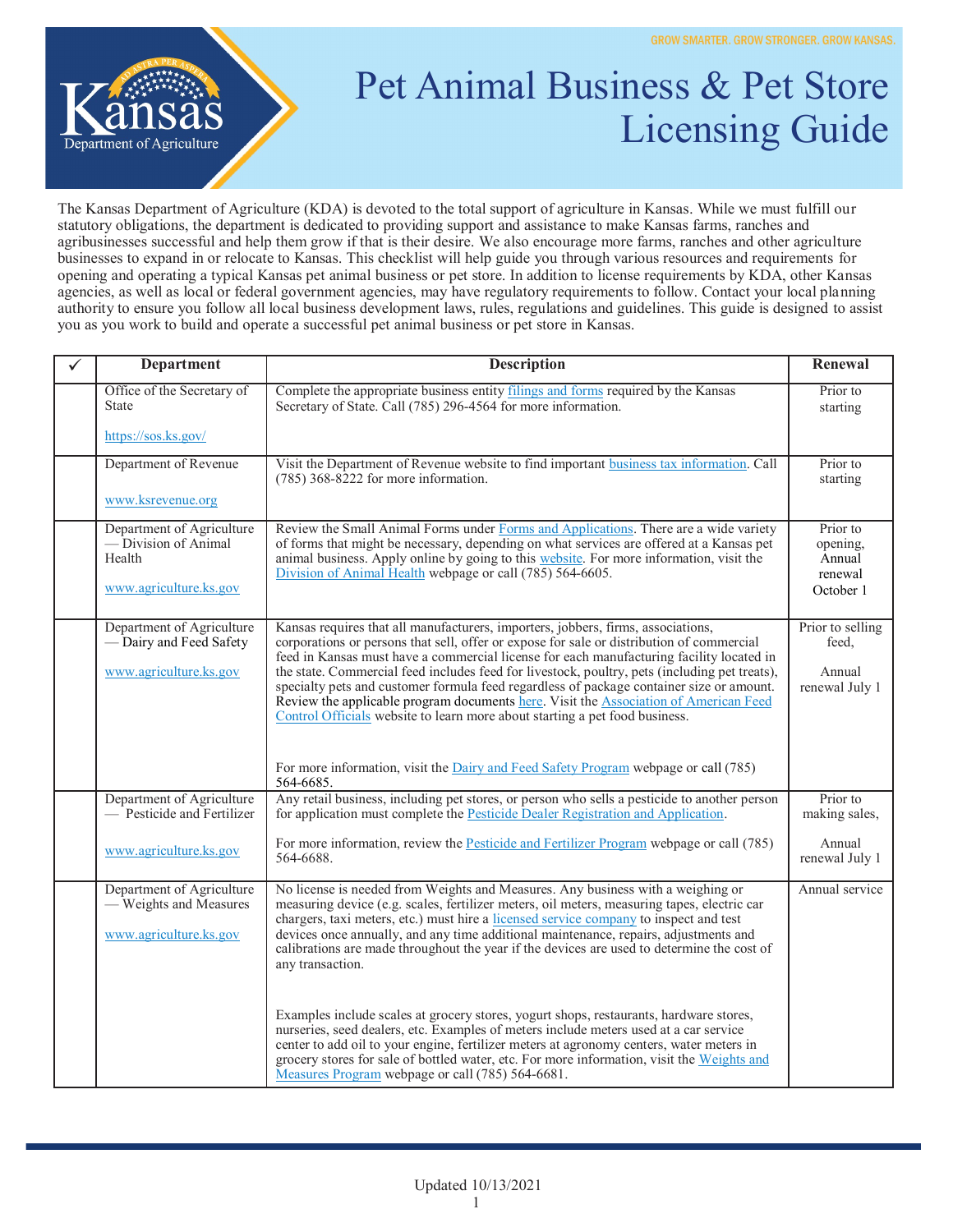

## Pet Animal Business & Pet Store Licensing Guide

The Kansas Department of Agriculture (KDA) is devoted to the total support of agriculture in Kansas. While we must fulfill our statutory obligations, the department is dedicated to providing support and assistance to make Kansas farms, ranches and agribusinesses successful and help them grow if that is their desire. We also encourage more farms, ranches and other agriculture businesses to expand in or relocate to Kansas. This checklist will help guide you through various resources and requirements for opening and operating a typical Kansas pet animal business or pet store. In addition to license requirements by KDA, other Kansas agencies, as well as local or federal government agencies, may have regulatory requirements to follow. Contact your local planning authority to ensure you follow all local business development laws, rules, regulations and guidelines. This guide is designed to assist you as you work to build and operate a successful pet animal business or pet store in Kansas.

| <b>Department</b>                                                                     | <b>Description</b>                                                                                                                                                                                                                                                                                                                                                                                                                                                                                                                                                                                                                                                                                                                                                                                                                                                                                                 | Renewal                                                |
|---------------------------------------------------------------------------------------|--------------------------------------------------------------------------------------------------------------------------------------------------------------------------------------------------------------------------------------------------------------------------------------------------------------------------------------------------------------------------------------------------------------------------------------------------------------------------------------------------------------------------------------------------------------------------------------------------------------------------------------------------------------------------------------------------------------------------------------------------------------------------------------------------------------------------------------------------------------------------------------------------------------------|--------------------------------------------------------|
| Office of the Secretary of<br><b>State</b>                                            | Complete the appropriate business entity filings and forms required by the Kansas<br>Secretary of State. Call (785) 296-4564 for more information.                                                                                                                                                                                                                                                                                                                                                                                                                                                                                                                                                                                                                                                                                                                                                                 | Prior to<br>starting                                   |
| https://sos.ks.gov/                                                                   |                                                                                                                                                                                                                                                                                                                                                                                                                                                                                                                                                                                                                                                                                                                                                                                                                                                                                                                    |                                                        |
| Department of Revenue                                                                 | Visit the Department of Revenue website to find important business tax information. Call<br>$(785)$ 368-8222 for more information.                                                                                                                                                                                                                                                                                                                                                                                                                                                                                                                                                                                                                                                                                                                                                                                 | Prior to<br>starting                                   |
| www.ksrevenue.org                                                                     |                                                                                                                                                                                                                                                                                                                                                                                                                                                                                                                                                                                                                                                                                                                                                                                                                                                                                                                    |                                                        |
| Department of Agriculture<br>— Division of Animal<br>Health<br>www.agriculture.ks.gov | Review the Small Animal Forms under Forms and Applications. There are a wide variety<br>of forms that might be necessary, depending on what services are offered at a Kansas pet<br>animal business. Apply online by going to this website. For more information, visit the<br>Division of Animal Health webpage or call (785) 564-6605.                                                                                                                                                                                                                                                                                                                                                                                                                                                                                                                                                                           | Prior to<br>opening,<br>Annual<br>renewal<br>October 1 |
| Department of Agriculture<br>- Dairy and Feed Safety<br>www.agriculture.ks.gov        | Kansas requires that all manufacturers, importers, jobbers, firms, associations,<br>corporations or persons that sell, offer or expose for sale or distribution of commercial<br>feed in Kansas must have a commercial license for each manufacturing facility located in<br>the state. Commercial feed includes feed for livestock, poultry, pets (including pet treats),<br>specialty pets and customer formula feed regardless of package container size or amount.<br>Review the applicable program documents here. Visit the Association of American Feed<br>Control Officials website to learn more about starting a pet food business.                                                                                                                                                                                                                                                                      | Prior to selling<br>feed.<br>Annual<br>renewal July 1  |
|                                                                                       | For more information, visit the Dairy and Feed Safety Program webpage or call (785)<br>564-6685.                                                                                                                                                                                                                                                                                                                                                                                                                                                                                                                                                                                                                                                                                                                                                                                                                   |                                                        |
| Department of Agriculture<br>- Pesticide and Fertilizer                               | Any retail business, including pet stores, or person who sells a pesticide to another person<br>for application must complete the Pesticide Dealer Registration and Application.                                                                                                                                                                                                                                                                                                                                                                                                                                                                                                                                                                                                                                                                                                                                   | Prior to<br>making sales,                              |
| www.agriculture.ks.gov                                                                | For more information, review the Pesticide and Fertilizer Program webpage or call (785)<br>564-6688.                                                                                                                                                                                                                                                                                                                                                                                                                                                                                                                                                                                                                                                                                                                                                                                                               | Annual<br>renewal July 1                               |
| Department of Agriculture<br>- Weights and Measures<br>www.agriculture.ks.gov         | No license is needed from Weights and Measures. Any business with a weighing or<br>measuring device (e.g. scales, fertilizer meters, oil meters, measuring tapes, electric car<br>chargers, taxi meters, etc.) must hire a licensed service company to inspect and test<br>devices once annually, and any time additional maintenance, repairs, adjustments and<br>calibrations are made throughout the year if the devices are used to determine the cost of<br>any transaction.<br>Examples include scales at grocery stores, yogurt shops, restaurants, hardware stores,<br>nurseries, seed dealers, etc. Examples of meters include meters used at a car service<br>center to add oil to your engine, fertilizer meters at agronomy centers, water meters in<br>grocery stores for sale of bottled water, etc. For more information, visit the Weights and<br>Measures Program webpage or call (785) 564-6681. | Annual service                                         |